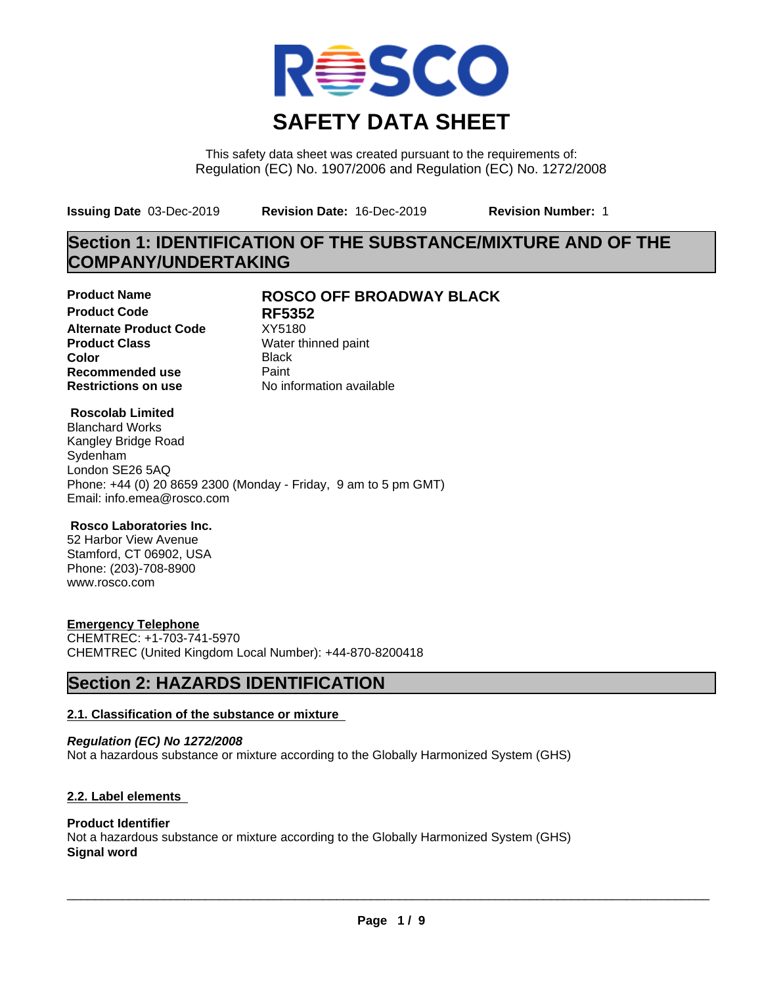

This safety data sheet was created pursuant to the requirements of: Regulation (EC) No. 1907/2006 and Regulation (EC) No. 1272/2008

**Issuing Date** 03-Dec-2019 **Revision Date:** 16-Dec-2019 **Revision Number:** 1

# **Section 1: IDENTIFICATION OF THE SUBSTANCE/MIXTURE AND OF THE COMPANY/UNDERTAKING**

**Product Code RF5352 Alternate Product Code** XY5180<br> **Product Class** Water th **Color** Black **Recommended use** Paint<br> **Restrictions on use** Mo information available **Restrictions on use** 

### **Product Name ROSCO OFF BROADWAY BLACK**

**Water thinned paint** 

#### **Roscolab Limited**

Blanchard Works Kangley Bridge Road Sydenham London SE26 5AQ Phone: +44 (0) 20 8659 2300 (Monday - Friday, 9 am to 5 pm GMT) Email: info.emea@rosco.com

#### **Rosco Laboratories Inc.**

52 Harbor View Avenue Stamford, CT 06902, USA Phone: (203)-708-8900 www.rosco.com

#### **Emergency Telephone**

CHEMTREC: +1-703-741-5970 CHEMTREC (United Kingdom Local Number): +44-870-8200418

## **Section 2: HAZARDS IDENTIFICATION**

#### **2.1. Classification of the substance or mixture**

*Regulation (EC) No 1272/2008* Not a hazardous substance or mixture according to the Globally Harmonized System (GHS)

#### **2.2. Label elements**

#### **Product Identifier**

Not a hazardous substance or mixture according to the Globally Harmonized System (GHS) **Signal word**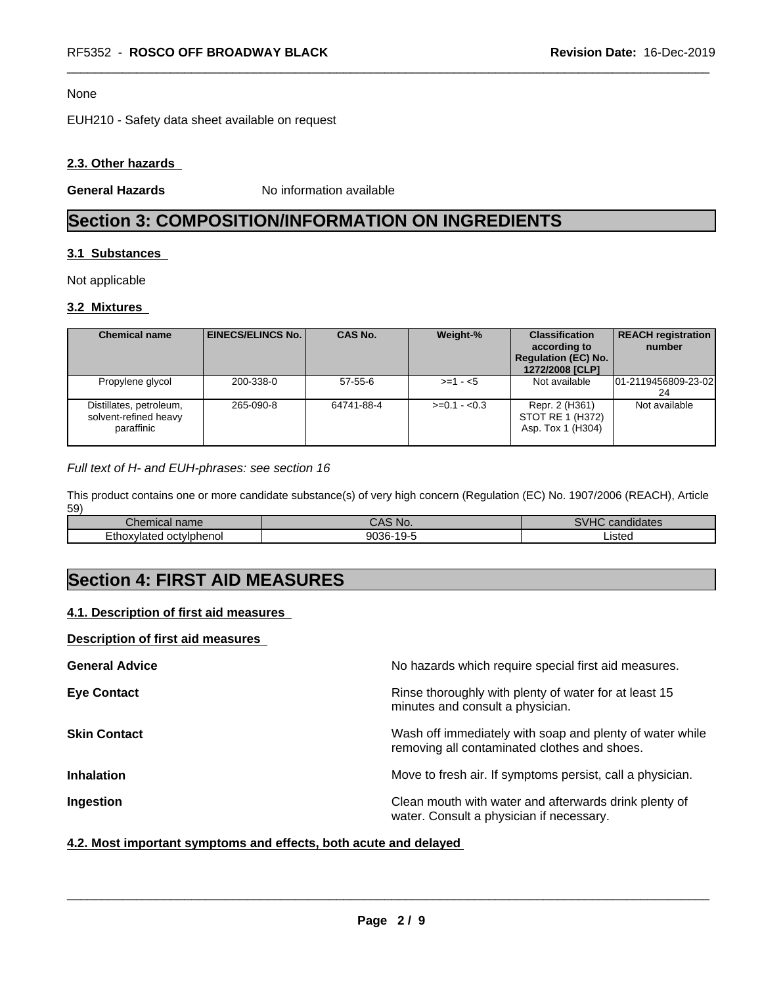#### None

EUH210 - Safety data sheet available on request

#### **2.3. Other hazards**

**General Hazards** No information available

# **Section 3: COMPOSITION/INFORMATION ON INGREDIENTS**

#### **3.1 Substances**

Not applicable

#### **3.2 Mixtures**

| <b>Chemical name</b>                                           | EINECS/ELINCS No. I | <b>CAS No.</b> | Weight-%      | <b>Classification</b><br>according to<br><b>Regulation (EC) No.</b><br>1272/2008 [CLP] | <b>REACH registration</b><br>number |
|----------------------------------------------------------------|---------------------|----------------|---------------|----------------------------------------------------------------------------------------|-------------------------------------|
| Propylene glycol                                               | 200-338-0           | $57 - 55 - 6$  | $>=1 - 5$     | Not available                                                                          | 01-2119456809-23-02<br>24           |
| Distillates, petroleum,<br>solvent-refined heavy<br>paraffinic | 265-090-8           | 64741-88-4     | $>=0.1 - 0.3$ | Repr. 2 (H361)<br>STOT RE 1 (H372)<br>Asp. Tox 1 (H304)                                | Not available                       |

#### *Full text of H- and EUH-phrases: see section 16*

This product contains one or more candidate substance(s) of very high concern (Regulation (EC) No. 1907/2006 (REACH), Article 59)

| $\sim$<br>name<br>Спенісаг                | $\cdot$ $\sim$<br>`No.                | 0111<br>.<br>candidates<br>$\mathbf{A}$ |
|-------------------------------------------|---------------------------------------|-----------------------------------------|
| <i>v</i> lateo<br>' oct∨lphenol<br>∠thox∨ | 9036-<br>$\sim$ $\sim$<br>. u-<br>. . | Listed                                  |

# **Section 4: FIRST AID MEASURES**

#### **4.1. Description of first aid measures**

#### **Description of first aid measures**

| <b>General Advice</b> | No hazards which require special first aid measures.                                                     |
|-----------------------|----------------------------------------------------------------------------------------------------------|
| <b>Eye Contact</b>    | Rinse thoroughly with plenty of water for at least 15<br>minutes and consult a physician.                |
| <b>Skin Contact</b>   | Wash off immediately with soap and plenty of water while<br>removing all contaminated clothes and shoes. |
| <b>Inhalation</b>     | Move to fresh air. If symptoms persist, call a physician.                                                |
| Ingestion             | Clean mouth with water and afterwards drink plenty of<br>water. Consult a physician if necessary.        |

#### **4.2. Most important symptoms and effects, both acute and delayed**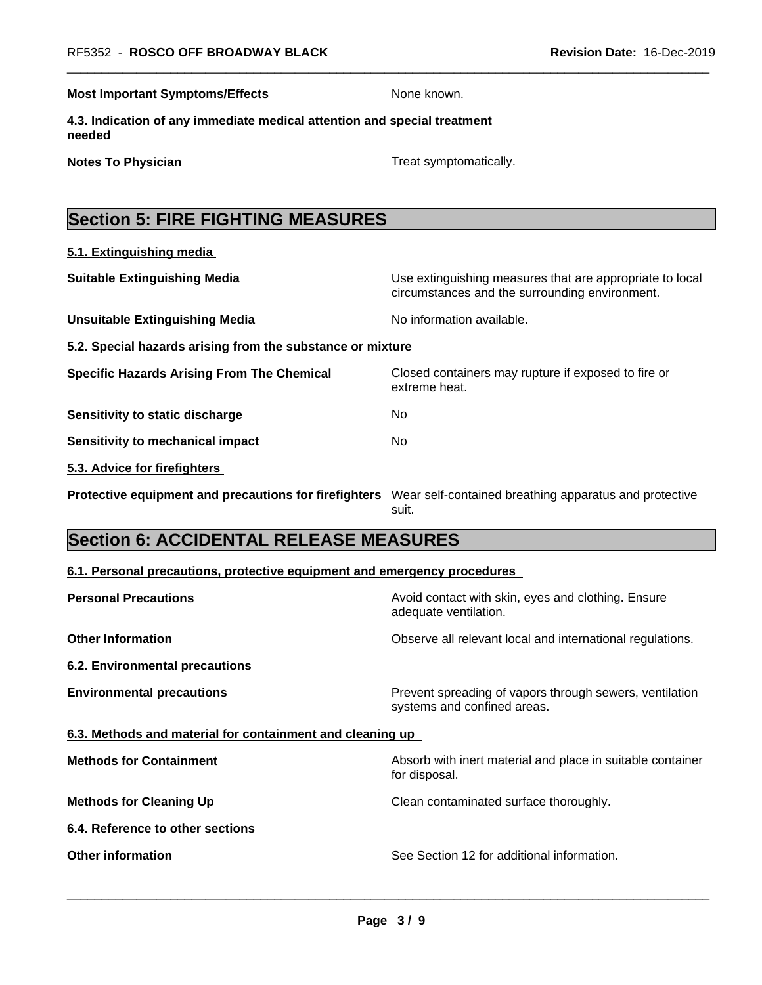**Most Important Symptoms/Effects** None known.

extreme heat.

**4.3. Indication of any immediate medical attention and special treatment needed** 

**Notes To Physician Treat symptomatically.** 

# **Section 5: FIRE FIGHTING MEASURES**

**5.1. Extinguishing media**

**Suitable Extinguishing Media** Media Use extinguishing measures that are appropriate to local circumstances and the surrounding environment.

- **Unsuitable Extinguishing Media** Noinformation available.
- **5.2. Special hazards arising from the substance or mixture**

**Specific Hazards Arising From The Chemical Closed containers may rupture if exposed to fire or** 

**Sensitivity to static discharge** No

**Sensitivity to mechanical impact** No

**5.3. Advice for firefighters** 

**Protective equipment and precautions for firefighters** Wear self-contained breathing apparatus and protective suit.

# **Section 6: ACCIDENTAL RELEASE MEASURES**

#### **6.1. Personal precautions, protective equipment and emergency procedures**

| <b>Personal Precautions</b>                               | Avoid contact with skin, eyes and clothing. Ensure<br>adequate ventilation.            |
|-----------------------------------------------------------|----------------------------------------------------------------------------------------|
| <b>Other Information</b>                                  | Observe all relevant local and international regulations.                              |
| 6.2. Environmental precautions                            |                                                                                        |
| <b>Environmental precautions</b>                          | Prevent spreading of vapors through sewers, ventilation<br>systems and confined areas. |
| 6.3. Methods and material for containment and cleaning up |                                                                                        |
| <b>Methods for Containment</b>                            | Absorb with inert material and place in suitable container<br>for disposal.            |
| <b>Methods for Cleaning Up</b>                            | Clean contaminated surface thoroughly.                                                 |
| 6.4. Reference to other sections                          |                                                                                        |
| <b>Other information</b>                                  | See Section 12 for additional information.                                             |
|                                                           |                                                                                        |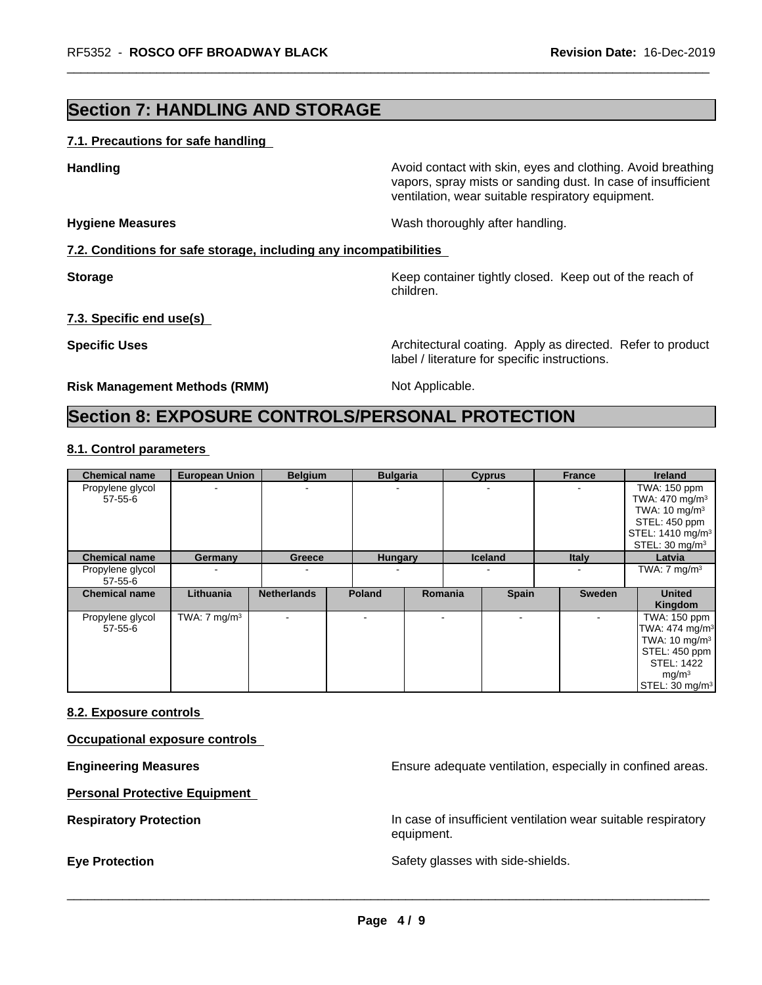## **Section 7: HANDLING AND STORAGE**

#### **7.1. Precautions for safe handling**

**Handling Handling Avoid contact with skin, eyes and clothing. Avoid breathing** vapors, spray mists or sanding dust. In case of insufficient ventilation, wear suitable respiratory equipment.

**Hygiene Measures** Mash thoroughly after handling.

#### **7.2. Conditions for safe storage, including any incompatibilities**

**Storage** Storage **Keep container tightly closed.** Keep out of the reach of children.

#### **7.3. Specific end use(s)**

**Specific Uses Architectural coating. Apply as directed. Refer to product Specific Uses** label / literature for specific instructions.

**Risk Management Methods (RMM)** Not Applicable.

## **Section 8: EXPOSURE CONTROLS/PERSONAL PROTECTION**

#### **8.1. Control parameters**

| <b>Chemical name</b>        | <b>European Union</b>   | <b>Belgium</b>           | <b>Bulgaria</b> |         | <b>Cyprus</b>  | <b>France</b> | <b>Ireland</b>                                                                                                                                                   |
|-----------------------------|-------------------------|--------------------------|-----------------|---------|----------------|---------------|------------------------------------------------------------------------------------------------------------------------------------------------------------------|
| Propylene glycol<br>57-55-6 |                         | $\blacksquare$           |                 |         |                |               | TWA: 150 ppm<br>TWA: $470 \text{ mg/m}^3$<br>TWA: $10 \text{ mg/m}^3$<br>STEL: 450 ppm<br>STEL: 1410 mg/m <sup>3</sup><br>STEL: $30 \text{ mg/m}^3$              |
| <b>Chemical name</b>        | Germany                 | Greece                   | <b>Hungary</b>  |         | <b>Iceland</b> | <b>Italy</b>  | Latvia                                                                                                                                                           |
| Propylene glycol<br>57-55-6 |                         | $\overline{\phantom{a}}$ |                 |         |                |               | TWA: $7 \text{ mg/m}^3$                                                                                                                                          |
| <b>Chemical name</b>        | Lithuania               | <b>Netherlands</b>       | <b>Poland</b>   | Romania | <b>Spain</b>   | Sweden        | <b>United</b><br>Kingdom                                                                                                                                         |
| Propylene glycol<br>57-55-6 | TWA: $7 \text{ mg/m}^3$ | $\overline{\phantom{a}}$ |                 |         | $\blacksquare$ |               | TWA: 150 ppm<br>TWA: 474 mg/m <sup>3</sup><br>TWA: 10 mg/m <sup>3</sup><br>STEL: 450 ppm<br><b>STEL: 1422</b><br>mg/m <sup>3</sup><br>STEL: 30 mg/m <sup>3</sup> |

#### **8.2. Exposure controls**

**Occupational exposure controls**

**Engineering Measures Ensure adequate ventilation, especially in confined areas.** 

**Personal Protective Equipment**

**Respiratory Protection In case of insufficient ventilation wear suitable respiratory** equipment.

**Eye Protection** Safety glasses with side-shields.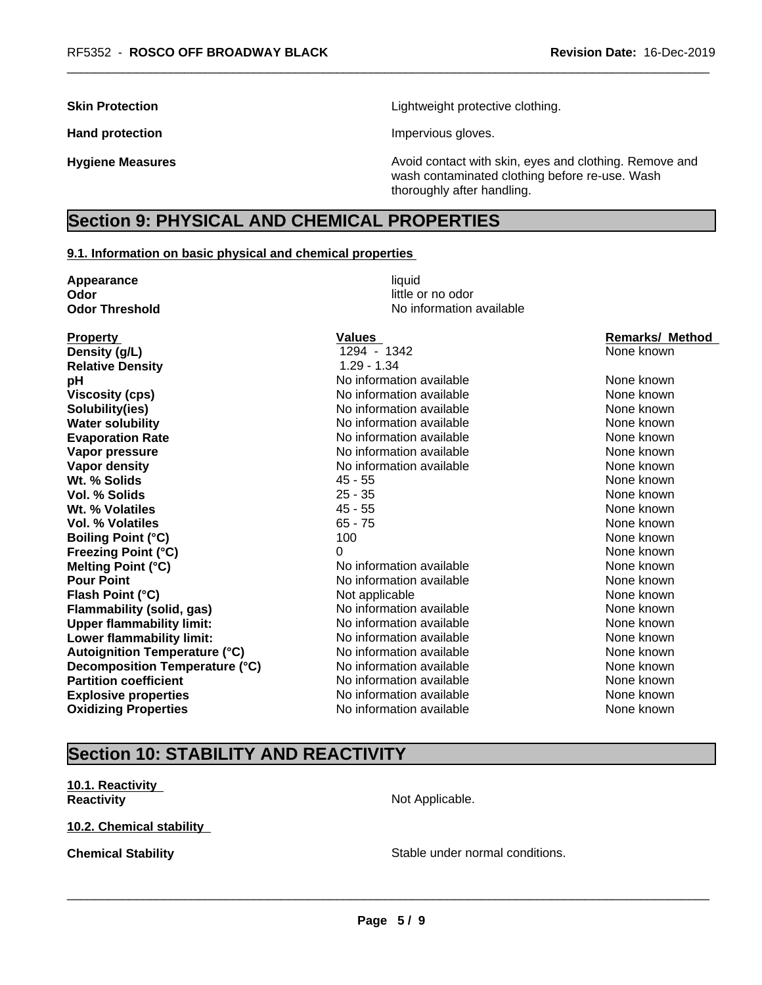**Skin Protection Skin Protection Lightweight protective clothing.** 

Hand protection **Impervious** gloves.

**Hygiene Measures Avoid contact with skin, eyes and clothing. Remove and Avoid contact with skin, eyes and clothing. Remove and Avoid contact with skin, eyes and clothing. Remove and** wash contaminated clothing before re-use. Wash thoroughly after handling.

# **Section 9: PHYSICAL AND CHEMICAL PROPERTIES**

#### **9.1. Information on basic physical and chemical properties**

| Appearance                           | liquid                   |                        |  |  |
|--------------------------------------|--------------------------|------------------------|--|--|
| little or no odor<br>Odor            |                          |                        |  |  |
| <b>Odor Threshold</b>                | No information available |                        |  |  |
| <b>Property</b>                      | <b>Values</b>            | <b>Remarks/ Method</b> |  |  |
| Density (g/L)                        | 1294 - 1342              | None known             |  |  |
| <b>Relative Density</b>              | $1.29 - 1.34$            |                        |  |  |
| pH                                   | No information available | None known             |  |  |
| <b>Viscosity (cps)</b>               | No information available | None known             |  |  |
| Solubility(ies)                      | No information available | None known             |  |  |
| <b>Water solubility</b>              | No information available | None known             |  |  |
| <b>Evaporation Rate</b>              | No information available | None known             |  |  |
| Vapor pressure                       | No information available | None known             |  |  |
| <b>Vapor density</b>                 | No information available | None known             |  |  |
| Wt. % Solids                         | $45 - 55$                | None known             |  |  |
| <b>Vol. % Solids</b>                 | $25 - 35$                | None known             |  |  |
| Wt. % Volatiles                      | $45 - 55$                | None known             |  |  |
| <b>Vol. % Volatiles</b>              | $65 - 75$                | None known             |  |  |
| <b>Boiling Point (°C)</b>            | 100                      | None known             |  |  |
| <b>Freezing Point (°C)</b>           | 0                        | None known             |  |  |
| Melting Point (°C)                   | No information available | None known             |  |  |
| <b>Pour Point</b>                    | No information available | None known             |  |  |
| Flash Point (°C)                     | Not applicable           | None known             |  |  |
| <b>Flammability (solid, gas)</b>     | No information available | None known             |  |  |
| <b>Upper flammability limit:</b>     | No information available | None known             |  |  |
| Lower flammability limit:            | No information available | None known             |  |  |
| <b>Autoignition Temperature (°C)</b> | No information available | None known             |  |  |
| Decomposition Temperature (°C)       | No information available | None known             |  |  |
| <b>Partition coefficient</b>         | No information available | None known             |  |  |
| <b>Explosive properties</b>          | No information available | None known             |  |  |
| <b>Oxidizing Properties</b>          | No information available | None known             |  |  |

# **Section 10: STABILITY AND REACTIVITY**

**10.1. Reactivity Reactivity Not Applicable.** 

**10.2. Chemical stability**

**Chemical Stability Stable under normal conditions.**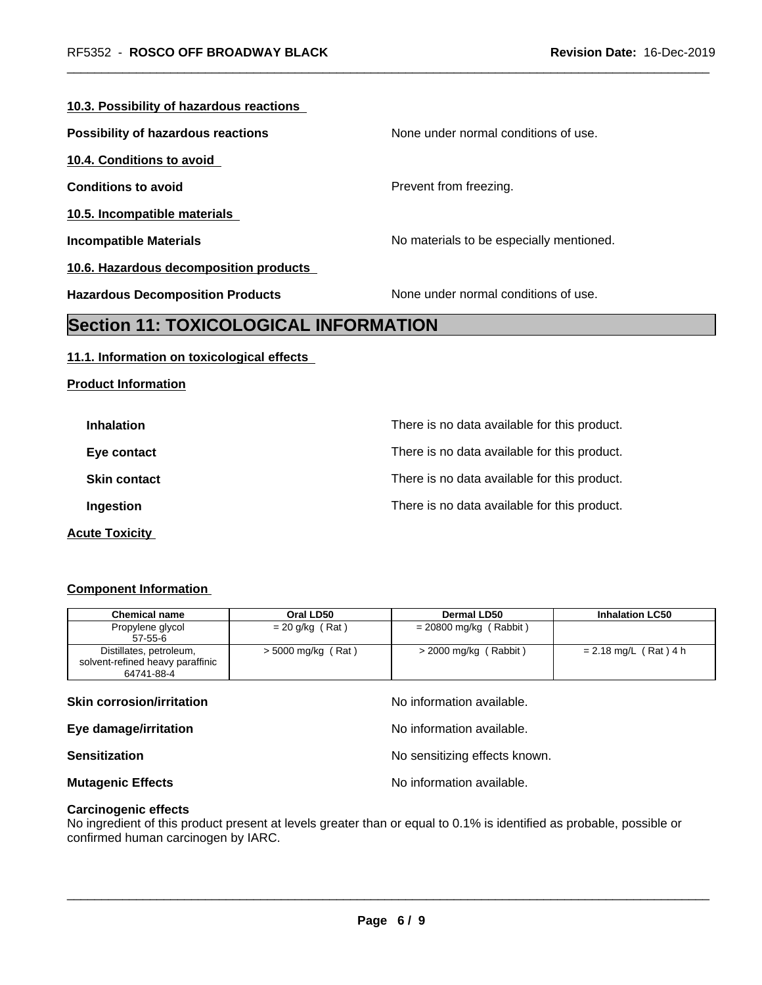#### **10.3. Possibility of hazardous reactions**

**Possibility of hazardous reactions** None under normal conditions of use.

**10.4. Conditions to avoid**

**10.5. Incompatible materials**

**Product Information**

**10.6. Hazardous decomposition products**

**Conditions to avoid Prevent from freezing.** 

**Incompatible Materials No materials** No materials to be especially mentioned.

**Hazardous Decomposition Products** None under normal conditions of use.

# **Section 11: TOXICOLOGICAL INFORMATION**

#### **11.1. Information on toxicological effects**

**Inhalation Inhalation Inhalation There is no data available for this product. Eye contact Exercise Exercise Exercise Structure There is no data available for this product. Skin contact** There is no data available for this product. **Ingestion Ingestion Intervalle is no data available for this product.** 

**Acute Toxicity** 

#### **Component Information**

| <b>Chemical name</b>             | Oral LD50            | Dermal LD50              | <b>Inhalation LC50</b>  |
|----------------------------------|----------------------|--------------------------|-------------------------|
| Propylene glycol                 | $= 20$ g/kg (Rat)    | $= 20800$ mg/kg (Rabbit) |                         |
| $57 - 55 - 6$                    |                      |                          |                         |
| Distillates, petroleum,          | $>$ 5000 mg/kg (Rat) | $>$ 2000 mg/kg (Rabbit)  | $= 2.18$ mg/L (Rat) 4 h |
| solvent-refined heavy paraffinic |                      |                          |                         |
| 64741-88-4                       |                      |                          |                         |

#### **Skin corrosion/irritation** and  $\blacksquare$  No information available.

**Eye damage/irritation Eye damage/irritation No information available.** 

**Sensitization Sensitization No sensitizing effects known.** 

**Mutagenic Effects Mutagenic Effects No information available.** 

**Carcinogenic effects**

No ingredient of this product present at levels greater than or equal to 0.1% is identified as probable, possible or confirmed human carcinogen by IARC.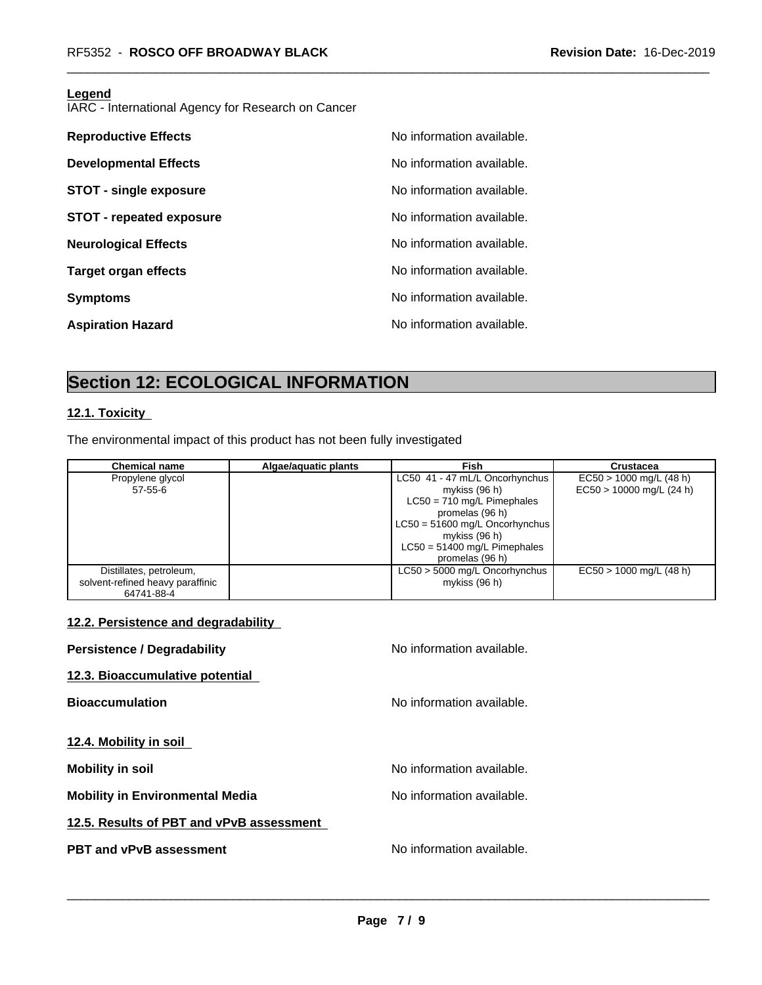#### **Legend**

IARC - International Agency for Research on Cancer

| <b>Reproductive Effects</b>     | No information available. |
|---------------------------------|---------------------------|
| <b>Developmental Effects</b>    | No information available. |
| <b>STOT - single exposure</b>   | No information available. |
| <b>STOT - repeated exposure</b> | No information available. |
| <b>Neurological Effects</b>     | No information available. |
| <b>Target organ effects</b>     | No information available. |
| <b>Symptoms</b>                 | No information available. |
| <b>Aspiration Hazard</b>        | No information available. |

# **Section 12: ECOLOGICAL INFORMATION**

#### **12.1. Toxicity**

The environmental impact of this product has not been fully investigated

| <b>Chemical name</b>             | Algae/aquatic plants | <b>Fish</b>                      | Crustacea                  |
|----------------------------------|----------------------|----------------------------------|----------------------------|
| Propylene glycol                 |                      | LC50 41 - 47 mL/L Oncorhynchus   | $EC50 > 1000$ mg/L (48 h)  |
| $57 - 55 - 6$                    |                      | mykiss (96 h)                    | $EC50 > 10000$ mg/L (24 h) |
|                                  |                      | $LC50 = 710$ mg/L Pimephales     |                            |
|                                  |                      | promelas (96 h)                  |                            |
|                                  |                      | $LC50 = 51600$ mg/L Oncorhynchus |                            |
|                                  |                      | mykiss (96 h)                    |                            |
|                                  |                      | $LC50 = 51400$ mg/L Pimephales   |                            |
|                                  |                      | promelas (96 h)                  |                            |
| Distillates, petroleum,          |                      | $LC50 > 5000$ mg/L Oncorhynchus  | $EC50 > 1000$ mg/L (48 h)  |
| solvent-refined heavy paraffinic |                      | mykiss (96 h)                    |                            |
| 64741-88-4                       |                      |                                  |                            |

#### **12.2. Persistence and degradability**

| <b>Persistence / Degradability</b>       | No information available. |
|------------------------------------------|---------------------------|
| 12.3. Bioaccumulative potential          |                           |
| <b>Bioaccumulation</b>                   | No information available. |
| 12.4. Mobility in soil                   |                           |
| <b>Mobility in soil</b>                  | No information available. |
| <b>Mobility in Environmental Media</b>   | No information available. |
| 12.5. Results of PBT and vPvB assessment |                           |
| PBT and vPvB assessment                  | No information available. |
|                                          |                           |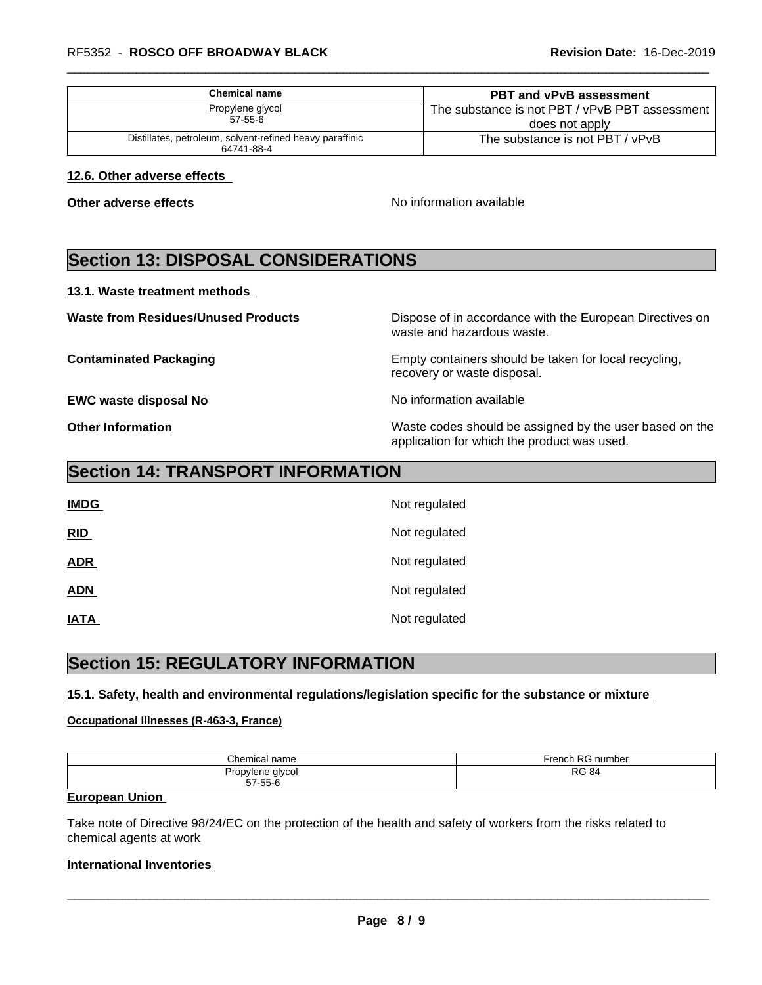| Chemical name                                                          | <b>PBT and vPvB assessment</b>                                     |
|------------------------------------------------------------------------|--------------------------------------------------------------------|
| Propylene glycol<br>$57 - 55 - 6$                                      | The substance is not PBT / vPvB PBT assessment  <br>does not apply |
| Distillates, petroleum, solvent-refined heavy paraffinic<br>64741-88-4 | The substance is not PBT / vPvB                                    |

#### **12.6. Other adverse effects**

**Other adverse effects** No information available

# **Section 13: DISPOSAL CONSIDERATIONS**

#### **13.1. Waste treatment methods**

**Waste from Residues/Unused Products** Dispose of in accordance with the European Directives on waste and hazardous waste.

**Contaminated Packaging Empty containers should be taken for local recycling,** recovery or waste disposal.

**EWC waste disposal No** Noinformation available

**Other Information** Waste codes should be assigned by the user based on the application for which the product was used.

## **Section 14: TRANSPORT INFORMATION**

| <b>IMDG</b> | Not regulated |
|-------------|---------------|
| RID         | Not regulated |
| <b>ADR</b>  | Not regulated |
| <b>ADN</b>  | Not regulated |
| <b>IATA</b> | Not regulated |

# **Section 15: REGULATORY INFORMATION**

#### **15.1. Safety, health and environmental regulations/legislation specific for the substance or mixture**

#### **Occupational Illnesses (R-463-3, France)**

| Chemical name                     | French RG<br>ı RG number |
|-----------------------------------|--------------------------|
| Propylene glycol<br>$57 - 55 - 6$ | <b>RG 84</b>             |

#### **European Union**

Take note of Directive 98/24/EC on the protection of the health and safety of workers from the risks related to chemical agents at work

#### **International Inventories**